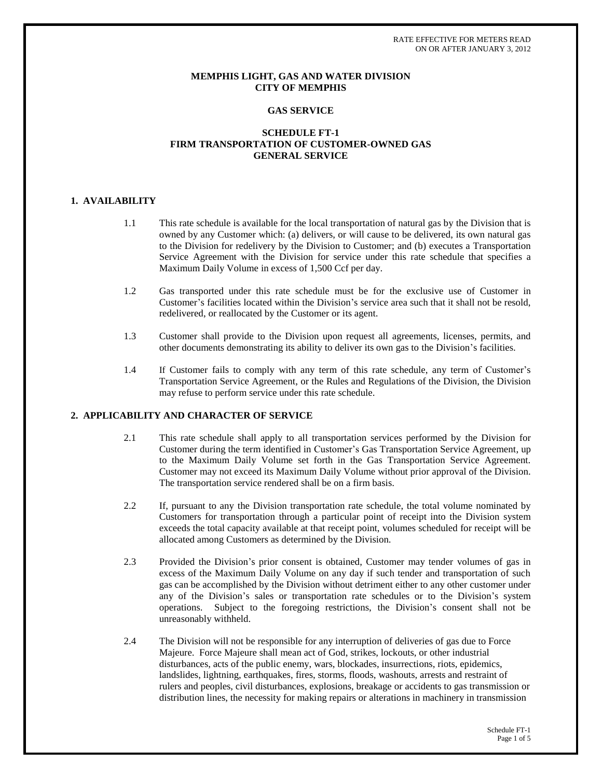RATE EFFECTIVE FOR METERS READ ON OR AFTER JANUARY 3, 2012

## **MEMPHIS LIGHT, GAS AND WATER DIVISION CITY OF MEMPHIS**

### **GAS SERVICE**

# **SCHEDULE FT-1 FIRM TRANSPORTATION OF CUSTOMER-OWNED GAS GENERAL SERVICE**

## **1. AVAILABILITY**

- 1.1 This rate schedule is available for the local transportation of natural gas by the Division that is owned by any Customer which: (a) delivers, or will cause to be delivered, its own natural gas to the Division for redelivery by the Division to Customer; and (b) executes a Transportation Service Agreement with the Division for service under this rate schedule that specifies a Maximum Daily Volume in excess of 1,500 Ccf per day.
- 1.2 Gas transported under this rate schedule must be for the exclusive use of Customer in Customer's facilities located within the Division's service area such that it shall not be resold, redelivered, or reallocated by the Customer or its agent.
- 1.3 Customer shall provide to the Division upon request all agreements, licenses, permits, and other documents demonstrating its ability to deliver its own gas to the Division's facilities.
- 1.4 If Customer fails to comply with any term of this rate schedule, any term of Customer's Transportation Service Agreement, or the Rules and Regulations of the Division, the Division may refuse to perform service under this rate schedule.

## **2. APPLICABILITY AND CHARACTER OF SERVICE**

- 2.1 This rate schedule shall apply to all transportation services performed by the Division for Customer during the term identified in Customer's Gas Transportation Service Agreement, up to the Maximum Daily Volume set forth in the Gas Transportation Service Agreement. Customer may not exceed its Maximum Daily Volume without prior approval of the Division. The transportation service rendered shall be on a firm basis.
- 2.2 If, pursuant to any the Division transportation rate schedule, the total volume nominated by Customers for transportation through a particular point of receipt into the Division system exceeds the total capacity available at that receipt point, volumes scheduled for receipt will be allocated among Customers as determined by the Division.
- 2.3 Provided the Division's prior consent is obtained, Customer may tender volumes of gas in excess of the Maximum Daily Volume on any day if such tender and transportation of such gas can be accomplished by the Division without detriment either to any other customer under any of the Division's sales or transportation rate schedules or to the Division's system operations. Subject to the foregoing restrictions, the Division's consent shall not be unreasonably withheld.
- 2.4 The Division will not be responsible for any interruption of deliveries of gas due to Force Majeure. Force Majeure shall mean act of God, strikes, lockouts, or other industrial disturbances, acts of the public enemy, wars, blockades, insurrections, riots, epidemics, landslides, lightning, earthquakes, fires, storms, floods, washouts, arrests and restraint of rulers and peoples, civil disturbances, explosions, breakage or accidents to gas transmission or distribution lines, the necessity for making repairs or alterations in machinery in transmission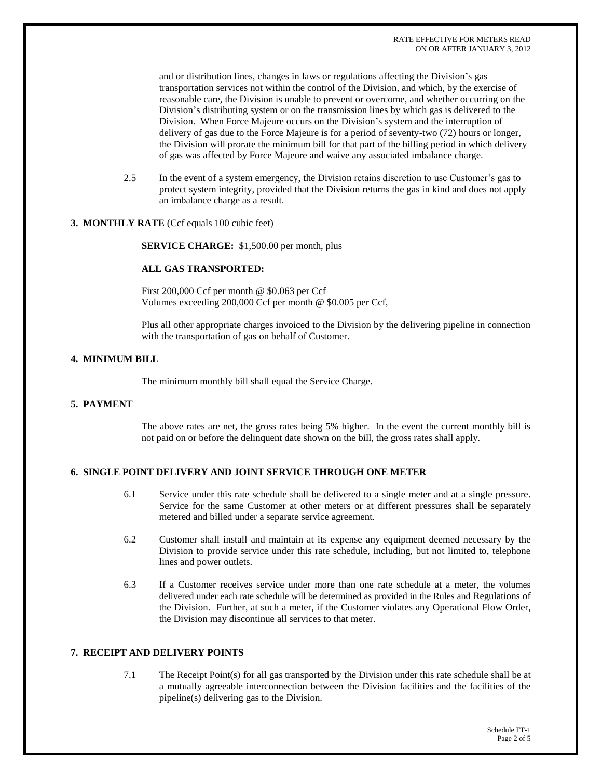and or distribution lines, changes in laws or regulations affecting the Division's gas transportation services not within the control of the Division, and which, by the exercise of reasonable care, the Division is unable to prevent or overcome, and whether occurring on the Division's distributing system or on the transmission lines by which gas is delivered to the Division. When Force Majeure occurs on the Division's system and the interruption of delivery of gas due to the Force Majeure is for a period of seventy-two (72) hours or longer, the Division will prorate the minimum bill for that part of the billing period in which delivery of gas was affected by Force Majeure and waive any associated imbalance charge.

- 2.5 In the event of a system emergency, the Division retains discretion to use Customer's gas to protect system integrity, provided that the Division returns the gas in kind and does not apply an imbalance charge as a result.
- **3. MONTHLY RATE** (Ccf equals 100 cubic feet)

 **SERVICE CHARGE:** \$1,500.00 per month, plus

#### **ALL GAS TRANSPORTED:**

First 200,000 Ccf per month @ \$0.063 per Ccf Volumes exceeding 200,000 Ccf per month @ \$0.005 per Ccf,

Plus all other appropriate charges invoiced to the Division by the delivering pipeline in connection with the transportation of gas on behalf of Customer.

## **4. MINIMUM BILL**

The minimum monthly bill shall equal the Service Charge.

# **5. PAYMENT**

The above rates are net, the gross rates being 5% higher. In the event the current monthly bill is not paid on or before the delinquent date shown on the bill, the gross rates shall apply.

# **6. SINGLE POINT DELIVERY AND JOINT SERVICE THROUGH ONE METER**

- 6.1 Service under this rate schedule shall be delivered to a single meter and at a single pressure. Service for the same Customer at other meters or at different pressures shall be separately metered and billed under a separate service agreement.
- 6.2 Customer shall install and maintain at its expense any equipment deemed necessary by the Division to provide service under this rate schedule, including, but not limited to, telephone lines and power outlets.
- 6.3 If a Customer receives service under more than one rate schedule at a meter, the volumes delivered under each rate schedule will be determined as provided in the Rules and Regulations of the Division. Further, at such a meter, if the Customer violates any Operational Flow Order, the Division may discontinue all services to that meter.

# **7. RECEIPT AND DELIVERY POINTS**

7.1 The Receipt Point(s) for all gas transported by the Division under this rate schedule shall be at a mutually agreeable interconnection between the Division facilities and the facilities of the pipeline(s) delivering gas to the Division.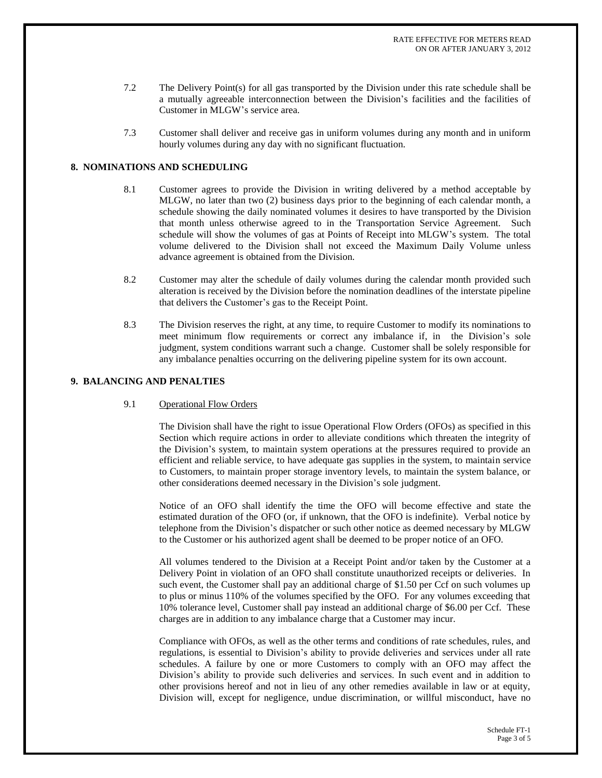- 7.2 The Delivery Point(s) for all gas transported by the Division under this rate schedule shall be a mutually agreeable interconnection between the Division's facilities and the facilities of Customer in MLGW's service area.
- 7.3 Customer shall deliver and receive gas in uniform volumes during any month and in uniform hourly volumes during any day with no significant fluctuation.

## **8. NOMINATIONS AND SCHEDULING**

- 8.1 Customer agrees to provide the Division in writing delivered by a method acceptable by MLGW, no later than two (2) business days prior to the beginning of each calendar month, a schedule showing the daily nominated volumes it desires to have transported by the Division that month unless otherwise agreed to in the Transportation Service Agreement. Such schedule will show the volumes of gas at Points of Receipt into MLGW's system. The total volume delivered to the Division shall not exceed the Maximum Daily Volume unless advance agreement is obtained from the Division.
- 8.2 Customer may alter the schedule of daily volumes during the calendar month provided such alteration is received by the Division before the nomination deadlines of the interstate pipeline that delivers the Customer's gas to the Receipt Point.
- 8.3 The Division reserves the right, at any time, to require Customer to modify its nominations to meet minimum flow requirements or correct any imbalance if, in the Division's sole judgment, system conditions warrant such a change. Customer shall be solely responsible for any imbalance penalties occurring on the delivering pipeline system for its own account.

## **9. BALANCING AND PENALTIES**

## 9.1 Operational Flow Orders

The Division shall have the right to issue Operational Flow Orders (OFOs) as specified in this Section which require actions in order to alleviate conditions which threaten the integrity of the Division's system, to maintain system operations at the pressures required to provide an efficient and reliable service, to have adequate gas supplies in the system, to maintain service to Customers, to maintain proper storage inventory levels, to maintain the system balance, or other considerations deemed necessary in the Division's sole judgment.

Notice of an OFO shall identify the time the OFO will become effective and state the estimated duration of the OFO (or, if unknown, that the OFO is indefinite). Verbal notice by telephone from the Division's dispatcher or such other notice as deemed necessary by MLGW to the Customer or his authorized agent shall be deemed to be proper notice of an OFO.

All volumes tendered to the Division at a Receipt Point and/or taken by the Customer at a Delivery Point in violation of an OFO shall constitute unauthorized receipts or deliveries. In such event, the Customer shall pay an additional charge of \$1.50 per Ccf on such volumes up to plus or minus 110% of the volumes specified by the OFO. For any volumes exceeding that 10% tolerance level, Customer shall pay instead an additional charge of \$6.00 per Ccf. These charges are in addition to any imbalance charge that a Customer may incur.

Compliance with OFOs, as well as the other terms and conditions of rate schedules, rules, and regulations, is essential to Division's ability to provide deliveries and services under all rate schedules. A failure by one or more Customers to comply with an OFO may affect the Division's ability to provide such deliveries and services. In such event and in addition to other provisions hereof and not in lieu of any other remedies available in law or at equity, Division will, except for negligence, undue discrimination, or willful misconduct, have no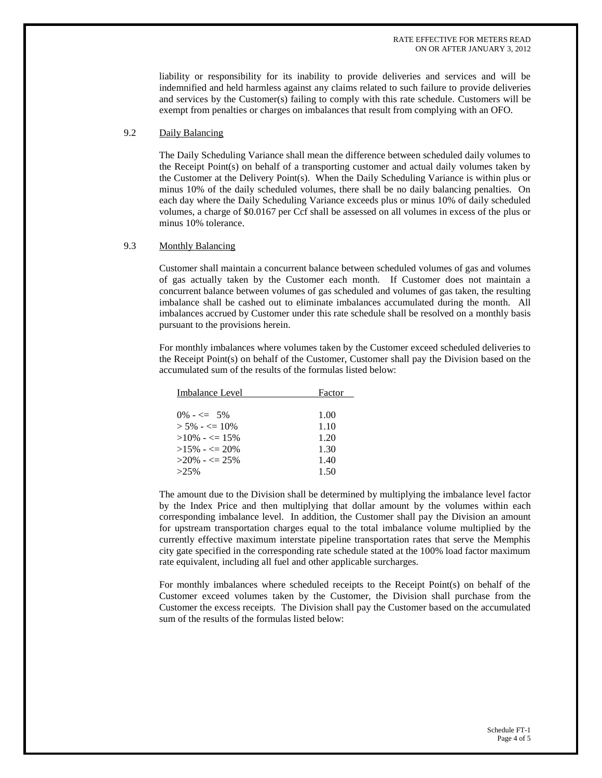liability or responsibility for its inability to provide deliveries and services and will be indemnified and held harmless against any claims related to such failure to provide deliveries and services by the Customer(s) failing to comply with this rate schedule. Customers will be exempt from penalties or charges on imbalances that result from complying with an OFO.

#### 9.2 Daily Balancing

The Daily Scheduling Variance shall mean the difference between scheduled daily volumes to the Receipt Point(s) on behalf of a transporting customer and actual daily volumes taken by the Customer at the Delivery Point(s). When the Daily Scheduling Variance is within plus or minus 10% of the daily scheduled volumes, there shall be no daily balancing penalties. On each day where the Daily Scheduling Variance exceeds plus or minus 10% of daily scheduled volumes, a charge of \$0.0167 per Ccf shall be assessed on all volumes in excess of the plus or minus 10% tolerance.

#### 9.3 Monthly Balancing

Customer shall maintain a concurrent balance between scheduled volumes of gas and volumes of gas actually taken by the Customer each month. If Customer does not maintain a concurrent balance between volumes of gas scheduled and volumes of gas taken, the resulting imbalance shall be cashed out to eliminate imbalances accumulated during the month. All imbalances accrued by Customer under this rate schedule shall be resolved on a monthly basis pursuant to the provisions herein.

For monthly imbalances where volumes taken by the Customer exceed scheduled deliveries to the Receipt Point(s) on behalf of the Customer, Customer shall pay the Division based on the accumulated sum of the results of the formulas listed below:

| Factor |
|--------|
|        |
| 1.00   |
| 1.10   |
| 1.20   |
| 1.30   |
| 1.40   |
| 1.50   |
|        |

The amount due to the Division shall be determined by multiplying the imbalance level factor by the Index Price and then multiplying that dollar amount by the volumes within each corresponding imbalance level. In addition, the Customer shall pay the Division an amount for upstream transportation charges equal to the total imbalance volume multiplied by the currently effective maximum interstate pipeline transportation rates that serve the Memphis city gate specified in the corresponding rate schedule stated at the 100% load factor maximum rate equivalent, including all fuel and other applicable surcharges.

For monthly imbalances where scheduled receipts to the Receipt Point $(s)$  on behalf of the Customer exceed volumes taken by the Customer, the Division shall purchase from the Customer the excess receipts. The Division shall pay the Customer based on the accumulated sum of the results of the formulas listed below: